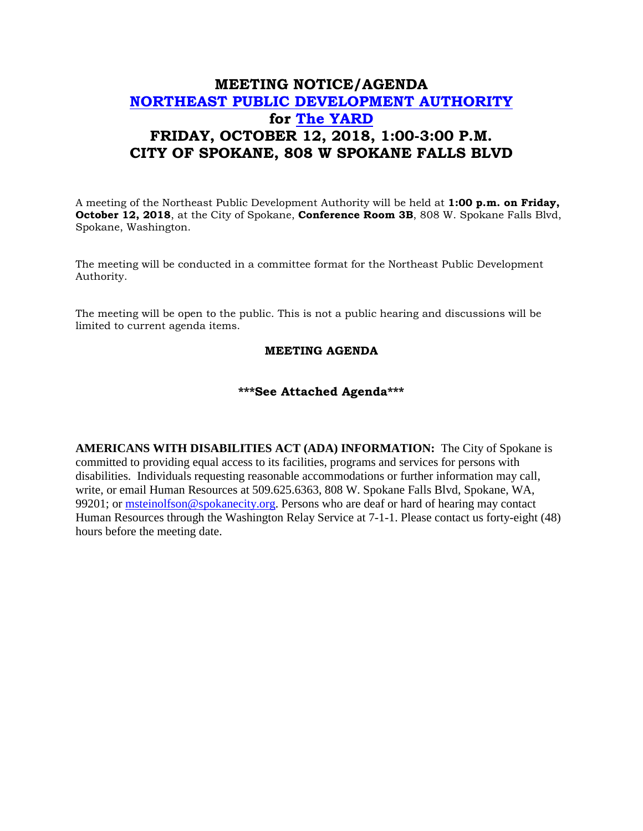## **MEETING NOTICE/AGENDA [NORTHEAST PUBLIC DEVELOPMENT AUTHORITY](https://beta.spokanecity.org/bcc/boards/northeast-public-development-authority/) for [The YARD](https://beta.spokanecity.org/projects/theyard/) FRIDAY, OCTOBER 12, 2018, 1:00-3:00 P.M. CITY OF SPOKANE, 808 W SPOKANE FALLS BLVD**

A meeting of the Northeast Public Development Authority will be held at **1:00 p.m. on Friday, October 12, 2018**, at the City of Spokane, **Conference Room 3B**, 808 W. Spokane Falls Blvd, Spokane, Washington.

The meeting will be conducted in a committee format for the Northeast Public Development Authority.

The meeting will be open to the public. This is not a public hearing and discussions will be limited to current agenda items.

## **MEETING AGENDA**

## **\*\*\*See Attached Agenda\*\*\***

**AMERICANS WITH DISABILITIES ACT (ADA) INFORMATION:** The City of Spokane is committed to providing equal access to its facilities, programs and services for persons with disabilities. Individuals requesting reasonable accommodations or further information may call, write, or email Human Resources at 509.625.6363, 808 W. Spokane Falls Blvd, Spokane, WA, 99201; or [msteinolfson@spokanecity.org.](mailto:msteinolfson@spokanecity.org) Persons who are deaf or hard of hearing may contact Human Resources through the Washington Relay Service at 7-1-1. Please contact us forty-eight (48) hours before the meeting date.